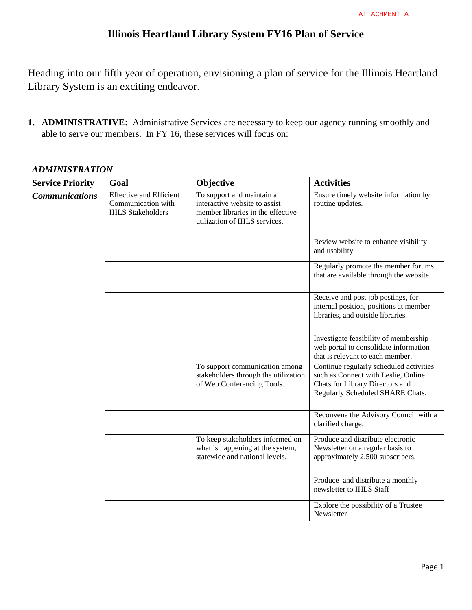## **Illinois Heartland Library System FY16 Plan of Service**

Heading into our fifth year of operation, envisioning a plan of service for the Illinois Heartland Library System is an exciting endeavor.

**1. ADMINISTRATIVE:** Administrative Services are necessary to keep our agency running smoothly and able to serve our members. In FY 16, these services will focus on:

| <b>ADMINISTRATION</b>   |                                                                                  |                                                                                                                                   |                                                                                                                                                       |
|-------------------------|----------------------------------------------------------------------------------|-----------------------------------------------------------------------------------------------------------------------------------|-------------------------------------------------------------------------------------------------------------------------------------------------------|
| <b>Service Priority</b> | Goal                                                                             | Objective                                                                                                                         | <b>Activities</b>                                                                                                                                     |
| <b>Communications</b>   | <b>Effective and Efficient</b><br>Communication with<br><b>IHLS Stakeholders</b> | To support and maintain an<br>interactive website to assist<br>member libraries in the effective<br>utilization of IHLS services. | Ensure timely website information by<br>routine updates.                                                                                              |
|                         |                                                                                  |                                                                                                                                   | Review website to enhance visibility<br>and usability                                                                                                 |
|                         |                                                                                  |                                                                                                                                   | Regularly promote the member forums<br>that are available through the website.                                                                        |
|                         |                                                                                  |                                                                                                                                   | Receive and post job postings, for<br>internal position, positions at member<br>libraries, and outside libraries.                                     |
|                         |                                                                                  |                                                                                                                                   | Investigate feasibility of membership<br>web portal to consolidate information<br>that is relevant to each member.                                    |
|                         |                                                                                  | To support communication among<br>stakeholders through the utilization<br>of Web Conferencing Tools.                              | Continue regularly scheduled activities<br>such as Connect with Leslie, Online<br>Chats for Library Directors and<br>Regularly Scheduled SHARE Chats. |
|                         |                                                                                  |                                                                                                                                   | Reconvene the Advisory Council with a<br>clarified charge.                                                                                            |
|                         |                                                                                  | To keep stakeholders informed on<br>what is happening at the system,<br>statewide and national levels.                            | Produce and distribute electronic<br>Newsletter on a regular basis to<br>approximately 2,500 subscribers.                                             |
|                         |                                                                                  |                                                                                                                                   | Produce and distribute a monthly<br>newsletter to IHLS Staff                                                                                          |
|                         |                                                                                  |                                                                                                                                   | Explore the possibility of a Trustee<br>Newsletter                                                                                                    |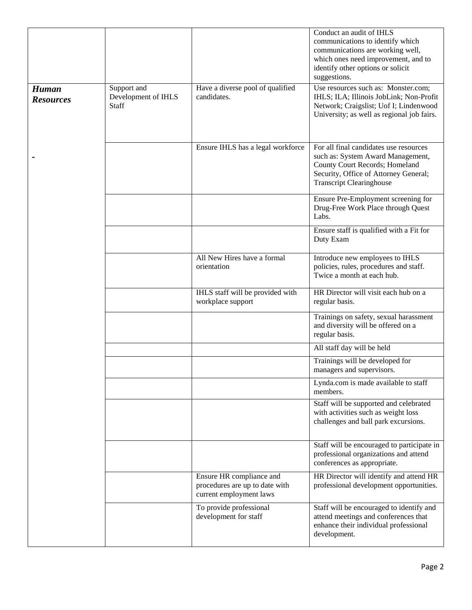|                                  |                                             |                                                                                       | Conduct an audit of IHLS<br>communications to identify which<br>communications are working well,<br>which ones need improvement, and to<br>identify other options or solicit<br>suggestions. |
|----------------------------------|---------------------------------------------|---------------------------------------------------------------------------------------|----------------------------------------------------------------------------------------------------------------------------------------------------------------------------------------------|
| <b>Human</b><br><b>Resources</b> | Support and<br>Development of IHLS<br>Staff | Have a diverse pool of qualified<br>candidates.                                       | Use resources such as: Monster.com;<br>IHLS; ILA; Illinois JobLink; Non-Profit<br>Network; Craigslist; Uof I; Lindenwood<br>University; as well as regional job fairs.                       |
|                                  |                                             | Ensure IHLS has a legal workforce                                                     | For all final candidates use resources<br>such as: System Award Management,<br>County Court Records; Homeland<br>Security, Office of Attorney General;<br><b>Transcript Clearinghouse</b>    |
|                                  |                                             |                                                                                       | Ensure Pre-Employment screening for<br>Drug-Free Work Place through Quest<br>Labs.                                                                                                           |
|                                  |                                             |                                                                                       | Ensure staff is qualified with a Fit for<br>Duty Exam                                                                                                                                        |
|                                  |                                             | All New Hires have a formal<br>orientation                                            | Introduce new employees to IHLS<br>policies, rules, procedures and staff.<br>Twice a month at each hub.                                                                                      |
|                                  |                                             | IHLS staff will be provided with<br>workplace support                                 | HR Director will visit each hub on a<br>regular basis.                                                                                                                                       |
|                                  |                                             |                                                                                       | Trainings on safety, sexual harassment<br>and diversity will be offered on a<br>regular basis.                                                                                               |
|                                  |                                             |                                                                                       | All staff day will be held                                                                                                                                                                   |
|                                  |                                             |                                                                                       | Trainings will be developed for<br>managers and supervisors.                                                                                                                                 |
|                                  |                                             |                                                                                       | Lynda.com is made available to staff<br>members.                                                                                                                                             |
|                                  |                                             |                                                                                       | Staff will be supported and celebrated<br>with activities such as weight loss<br>challenges and ball park excursions.                                                                        |
|                                  |                                             |                                                                                       | Staff will be encouraged to participate in<br>professional organizations and attend<br>conferences as appropriate.                                                                           |
|                                  |                                             | Ensure HR compliance and<br>procedures are up to date with<br>current employment laws | HR Director will identify and attend HR<br>professional development opportunities.                                                                                                           |
|                                  |                                             | To provide professional<br>development for staff                                      | Staff will be encouraged to identify and<br>attend meetings and conferences that<br>enhance their individual professional<br>development.                                                    |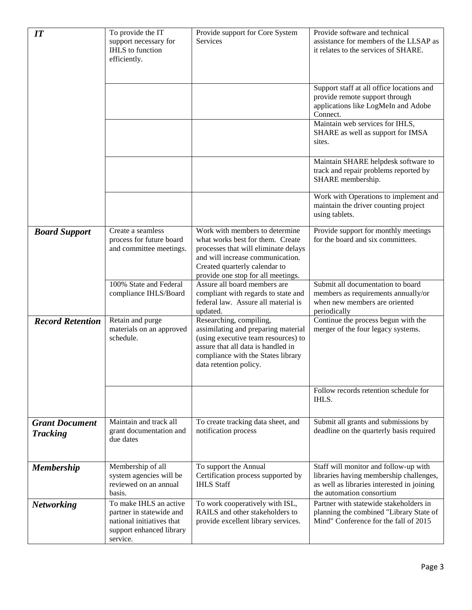| IT                                       | To provide the IT<br>support necessary for<br><b>IHLS</b> to function<br>efficiently.                                   | Provide support for Core System<br>Services                                                                                                                                                                           | Provide software and technical<br>assistance for members of the LLSAP as<br>it relates to the services of SHARE.                                            |
|------------------------------------------|-------------------------------------------------------------------------------------------------------------------------|-----------------------------------------------------------------------------------------------------------------------------------------------------------------------------------------------------------------------|-------------------------------------------------------------------------------------------------------------------------------------------------------------|
|                                          |                                                                                                                         |                                                                                                                                                                                                                       | Support staff at all office locations and<br>provide remote support through<br>applications like LogMeIn and Adobe<br>Connect.                              |
|                                          |                                                                                                                         |                                                                                                                                                                                                                       | Maintain web services for IHLS,<br>SHARE as well as support for IMSA<br>sites.                                                                              |
|                                          |                                                                                                                         |                                                                                                                                                                                                                       | Maintain SHARE helpdesk software to<br>track and repair problems reported by<br>SHARE membership.                                                           |
|                                          |                                                                                                                         |                                                                                                                                                                                                                       | Work with Operations to implement and<br>maintain the driver counting project<br>using tablets.                                                             |
| <b>Board Support</b>                     | Create a seamless<br>process for future board<br>and committee meetings.                                                | Work with members to determine<br>what works best for them. Create<br>processes that will eliminate delays<br>and will increase communication.<br>Created quarterly calendar to<br>provide one stop for all meetings. | Provide support for monthly meetings<br>for the board and six committees.                                                                                   |
|                                          | 100% State and Federal<br>compliance IHLS/Board                                                                         | Assure all board members are<br>compliant with regards to state and<br>federal law. Assure all material is<br>updated.                                                                                                | Submit all documentation to board<br>members as requirements annually/or<br>when new members are oriented<br>periodically                                   |
| <b>Record Retention</b>                  | Retain and purge<br>materials on an approved<br>schedule.                                                               | Researching, compiling,<br>assimilating and preparing material<br>(using executive team resources) to<br>assure that all data is handled in<br>compliance with the States library<br>data retention policy.           | Continue the process begun with the<br>merger of the four legacy systems.                                                                                   |
|                                          |                                                                                                                         |                                                                                                                                                                                                                       | Follow records retention schedule for<br>IHLS.                                                                                                              |
| <b>Grant Document</b><br><b>Tracking</b> | Maintain and track all<br>grant documentation and<br>due dates                                                          | To create tracking data sheet, and<br>notification process                                                                                                                                                            | Submit all grants and submissions by<br>deadline on the quarterly basis required                                                                            |
| <b>Membership</b>                        | Membership of all<br>system agencies will be<br>reviewed on an annual<br>basis.                                         | To support the Annual<br>Certification process supported by<br><b>IHLS Staff</b>                                                                                                                                      | Staff will monitor and follow-up with<br>libraries having membership challenges,<br>as well as libraries interested in joining<br>the automation consortium |
| <b>Networking</b>                        | To make IHLS an active<br>partner in statewide and<br>national initiatives that<br>support enhanced library<br>service. | To work cooperatively with ISL,<br>RAILS and other stakeholders to<br>provide excellent library services.                                                                                                             | Partner with statewide stakeholders in<br>planning the combined "Library State of<br>Mind" Conference for the fall of 2015                                  |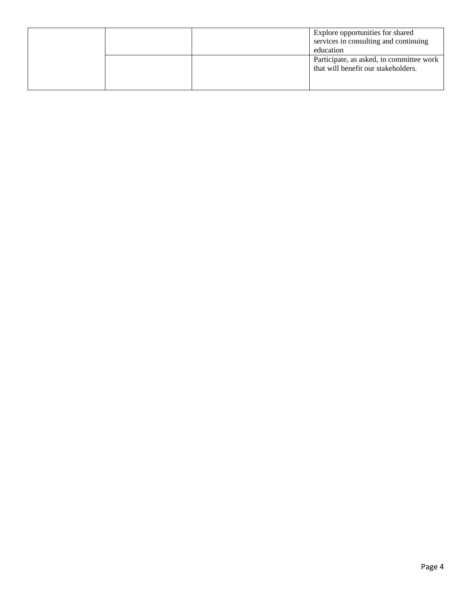|  | Explore opportunities for shared<br>services in consulting and continuing<br>education |
|--|----------------------------------------------------------------------------------------|
|  | Participate, as asked, in committee work<br>that will benefit our stakeholders.        |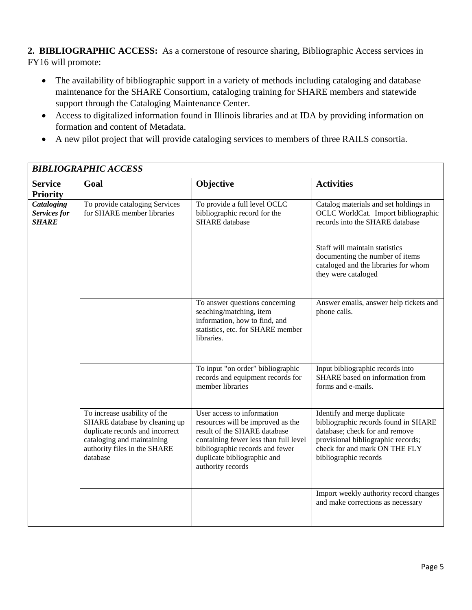**2. BIBLIOGRAPHIC ACCESS:** As a cornerstone of resource sharing, Bibliographic Access services in FY16 will promote:

- The availability of bibliographic support in a variety of methods including cataloging and database maintenance for the SHARE Consortium, cataloging training for SHARE members and statewide support through the Cataloging Maintenance Center.
- Access to digitalized information found in Illinois libraries and at IDA by providing information on formation and content of Metadata.
- A new pilot project that will provide cataloging services to members of three RAILS consortia.

| <b>BIBLIOGRAPHIC ACCESS</b>                       |                                                                                                                                                                            |                                                                                                                                                                                                                                 |                                                                                                                                                                                                        |
|---------------------------------------------------|----------------------------------------------------------------------------------------------------------------------------------------------------------------------------|---------------------------------------------------------------------------------------------------------------------------------------------------------------------------------------------------------------------------------|--------------------------------------------------------------------------------------------------------------------------------------------------------------------------------------------------------|
| <b>Service</b><br><b>Priority</b>                 | Goal                                                                                                                                                                       | Objective                                                                                                                                                                                                                       | <b>Activities</b>                                                                                                                                                                                      |
| <b>Cataloging</b><br>Services for<br><b>SHARE</b> | To provide cataloging Services<br>for SHARE member libraries                                                                                                               | To provide a full level OCLC<br>bibliographic record for the<br><b>SHARE</b> database                                                                                                                                           | Catalog materials and set holdings in<br>OCLC WorldCat. Import bibliographic<br>records into the SHARE database                                                                                        |
|                                                   |                                                                                                                                                                            |                                                                                                                                                                                                                                 | Staff will maintain statistics<br>documenting the number of items<br>cataloged and the libraries for whom<br>they were cataloged                                                                       |
|                                                   |                                                                                                                                                                            | To answer questions concerning<br>seaching/matching, item<br>information, how to find, and<br>statistics, etc. for SHARE member<br>libraries.                                                                                   | Answer emails, answer help tickets and<br>phone calls.                                                                                                                                                 |
|                                                   |                                                                                                                                                                            | To input "on order" bibliographic<br>records and equipment records for<br>member libraries                                                                                                                                      | Input bibliographic records into<br>SHARE based on information from<br>forms and e-mails.                                                                                                              |
|                                                   | To increase usability of the<br>SHARE database by cleaning up<br>duplicate records and incorrect<br>cataloging and maintaining<br>authority files in the SHARE<br>database | User access to information<br>resources will be improved as the<br>result of the SHARE database<br>containing fewer less than full level<br>bibliographic records and fewer<br>duplicate bibliographic and<br>authority records | Identify and merge duplicate<br>bibliographic records found in SHARE<br>database; check for and remove<br>provisional bibliographic records;<br>check for and mark ON THE FLY<br>bibliographic records |
|                                                   |                                                                                                                                                                            |                                                                                                                                                                                                                                 | Import weekly authority record changes<br>and make corrections as necessary                                                                                                                            |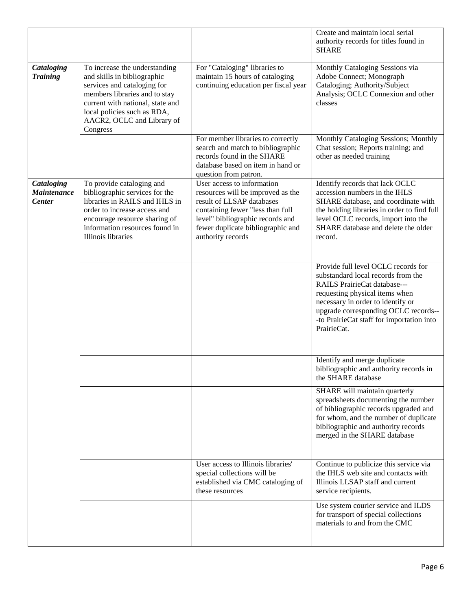|                                                   |                                                                                                                                                                                                                                           |                                                                                                                                                                                                                                | Create and maintain local serial<br>authority records for titles found in<br><b>SHARE</b>                                                                                                                                                                                            |
|---------------------------------------------------|-------------------------------------------------------------------------------------------------------------------------------------------------------------------------------------------------------------------------------------------|--------------------------------------------------------------------------------------------------------------------------------------------------------------------------------------------------------------------------------|--------------------------------------------------------------------------------------------------------------------------------------------------------------------------------------------------------------------------------------------------------------------------------------|
| Cataloging<br><b>Training</b>                     | To increase the understanding<br>and skills in bibliographic<br>services and cataloging for<br>members libraries and to stay<br>current with national, state and<br>local policies such as RDA,<br>AACR2, OCLC and Library of<br>Congress | For "Cataloging" libraries to<br>maintain 15 hours of cataloging<br>continuing education per fiscal year                                                                                                                       | Monthly Cataloging Sessions via<br>Adobe Connect; Monograph<br>Cataloging; Authority/Subject<br>Analysis; OCLC Connexion and other<br>classes                                                                                                                                        |
|                                                   |                                                                                                                                                                                                                                           | For member libraries to correctly<br>search and match to bibliographic<br>records found in the SHARE<br>database based on item in hand or<br>question from patron.                                                             | Monthly Cataloging Sessions; Monthly<br>Chat session; Reports training; and<br>other as needed training                                                                                                                                                                              |
| Cataloging<br><b>Maintenance</b><br><b>Center</b> | To provide cataloging and<br>bibliographic services for the<br>libraries in RAILS and IHLS in<br>order to increase access and<br>encourage resource sharing of<br>information resources found in<br>Illinois libraries                    | User access to information<br>resources will be improved as the<br>result of LLSAP databases<br>containing fewer "less than full<br>level" bibliographic records and<br>fewer duplicate bibliographic and<br>authority records | Identify records that lack OCLC<br>accession numbers in the IHLS<br>SHARE database, and coordinate with<br>the holding libraries in order to find full<br>level OCLC records, import into the<br>SHARE database and delete the older<br>record.                                      |
|                                                   |                                                                                                                                                                                                                                           |                                                                                                                                                                                                                                | Provide full level OCLC records for<br>substandard local records from the<br>RAILS PrairieCat database---<br>requesting physical items when<br>necessary in order to identify or<br>upgrade corresponding OCLC records--<br>-to PrairieCat staff for importation into<br>PrairieCat. |
|                                                   |                                                                                                                                                                                                                                           |                                                                                                                                                                                                                                | Identify and merge duplicate<br>bibliographic and authority records in<br>the SHARE database                                                                                                                                                                                         |
|                                                   |                                                                                                                                                                                                                                           |                                                                                                                                                                                                                                | SHARE will maintain quarterly<br>spreadsheets documenting the number<br>of bibliographic records upgraded and<br>for whom, and the number of duplicate<br>bibliographic and authority records<br>merged in the SHARE database                                                        |
|                                                   |                                                                                                                                                                                                                                           | User access to Illinois libraries'<br>special collections will be<br>established via CMC cataloging of<br>these resources                                                                                                      | Continue to publicize this service via<br>the IHLS web site and contacts with<br>Illinois LLSAP staff and current<br>service recipients.                                                                                                                                             |
|                                                   |                                                                                                                                                                                                                                           |                                                                                                                                                                                                                                | Use system courier service and ILDS<br>for transport of special collections<br>materials to and from the CMC                                                                                                                                                                         |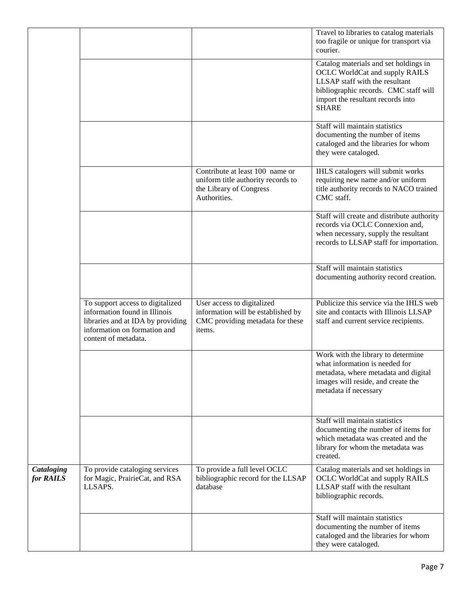|                         |                                                                                                                                                                |                                                                                                                  | Travel to libraries to catalog materials<br>too fragile or unique for transport via<br>courier.                                                                                                         |
|-------------------------|----------------------------------------------------------------------------------------------------------------------------------------------------------------|------------------------------------------------------------------------------------------------------------------|---------------------------------------------------------------------------------------------------------------------------------------------------------------------------------------------------------|
|                         |                                                                                                                                                                |                                                                                                                  | Catalog materials and set holdings in<br>OCLC WorldCat and supply RAILS<br>LLSAP staff with the resultant<br>bibliographic records. CMC staff will<br>import the resultant records into<br><b>SHARE</b> |
|                         |                                                                                                                                                                |                                                                                                                  | Staff will maintain statistics<br>documenting the number of items<br>cataloged and the libraries for whom<br>they were cataloged.                                                                       |
|                         |                                                                                                                                                                | Contribute at least 100 name or<br>uniform title authority records to<br>the Library of Congress<br>Authorities. | IHLS catalogers will submit works<br>requiring new name and/or uniform<br>title authority records to NACO trained<br>CMC staff.                                                                         |
|                         |                                                                                                                                                                |                                                                                                                  | Staff will create and distribute authority<br>records via OCLC Connexion and,<br>when necessary, supply the resultant<br>records to LLSAP staff for importation.                                        |
|                         |                                                                                                                                                                |                                                                                                                  | Staff will maintain statistics<br>documenting authority record creation.                                                                                                                                |
|                         | To support access to digitalized<br>information found in Illinois<br>libraries and at IDA by providing<br>information on formation and<br>content of metadata. | User access to digitalized<br>information will be established by<br>CMC providing metadata for these<br>items.   | Publicize this service via the IHLS web<br>site and contacts with Illinois LLSAP<br>staff and current service recipients.                                                                               |
|                         |                                                                                                                                                                |                                                                                                                  | Work with the library to determine<br>what information is needed for<br>metadata, where metadata and digital<br>images will reside, and create the<br>metadata if necessary                             |
|                         |                                                                                                                                                                |                                                                                                                  | Staff will maintain statistics<br>documenting the number of items for<br>which metadata was created and the<br>library for whom the metadata was<br>created.                                            |
| Cataloging<br>for RAILS | To provide cataloging services<br>for Magic, PrairieCat, and RSA<br>LLSAPS.                                                                                    | To provide a full level OCLC<br>bibliographic record for the LLSAP<br>database                                   | Catalog materials and set holdings in<br><b>OCLC</b> WorldCat and supply RAILS<br>LLSAP staff with the resultant<br>bibliographic records.                                                              |
|                         |                                                                                                                                                                |                                                                                                                  | Staff will maintain statistics<br>documenting the number of items<br>cataloged and the libraries for whom<br>they were cataloged.                                                                       |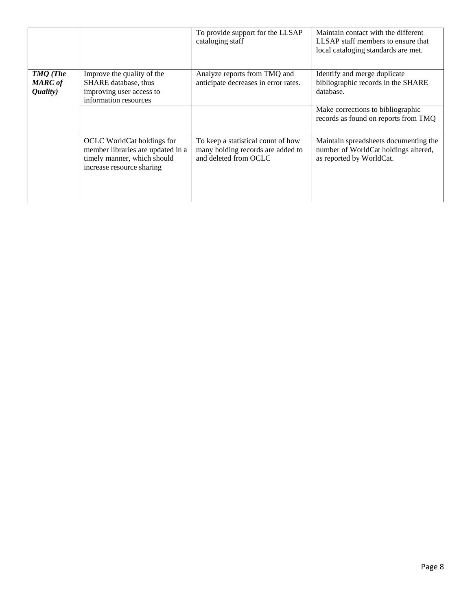|                                        |                                                                                                                             | To provide support for the LLSAP<br>cataloging staff                                             | Maintain contact with the different<br>LLSAP staff members to ensure that<br>local cataloging standards are met. |
|----------------------------------------|-----------------------------------------------------------------------------------------------------------------------------|--------------------------------------------------------------------------------------------------|------------------------------------------------------------------------------------------------------------------|
| TMQ (The<br><b>MARC</b> of<br>Quality) | Improve the quality of the<br>SHARE database, thus<br>improving user access to<br>information resources                     | Analyze reports from TMQ and<br>anticipate decreases in error rates.                             | Identify and merge duplicate<br>bibliographic records in the SHARE<br>database.                                  |
|                                        |                                                                                                                             |                                                                                                  | Make corrections to bibliographic<br>records as found on reports from TMQ                                        |
|                                        | OCLC WorldCat holdings for<br>member libraries are updated in a<br>timely manner, which should<br>increase resource sharing | To keep a statistical count of how<br>many holding records are added to<br>and deleted from OCLC | Maintain spreadsheets documenting the<br>number of WorldCat holdings altered,<br>as reported by WorldCat.        |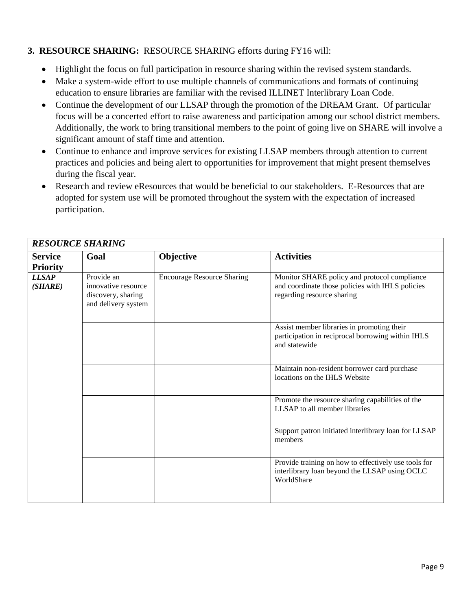## **3. RESOURCE SHARING:** RESOURCE SHARING efforts during FY16 will:

- Highlight the focus on full participation in resource sharing within the revised system standards.
- Make a system-wide effort to use multiple channels of communications and formats of continuing education to ensure libraries are familiar with the revised ILLINET Interlibrary Loan Code.
- Continue the development of our LLSAP through the promotion of the DREAM Grant. Of particular focus will be a concerted effort to raise awareness and participation among our school district members. Additionally, the work to bring transitional members to the point of going live on SHARE will involve a significant amount of staff time and attention.
- Continue to enhance and improve services for existing LLSAP members through attention to current practices and policies and being alert to opportunities for improvement that might present themselves during the fiscal year.
- Research and review eResources that would be beneficial to our stakeholders. E-Resources that are adopted for system use will be promoted throughout the system with the expectation of increased participation.

| <b>RESOURCE SHARING</b>           |                                                                                |                                   |                                                                                                                                |  |
|-----------------------------------|--------------------------------------------------------------------------------|-----------------------------------|--------------------------------------------------------------------------------------------------------------------------------|--|
| <b>Service</b><br><b>Priority</b> | Goal                                                                           | Objective                         | <b>Activities</b>                                                                                                              |  |
| <b>LLSAP</b><br>(SHARE)           | Provide an<br>innovative resource<br>discovery, sharing<br>and delivery system | <b>Encourage Resource Sharing</b> | Monitor SHARE policy and protocol compliance<br>and coordinate those policies with IHLS policies<br>regarding resource sharing |  |
|                                   |                                                                                |                                   | Assist member libraries in promoting their<br>participation in reciprocal borrowing within IHLS<br>and statewide               |  |
|                                   |                                                                                |                                   | Maintain non-resident borrower card purchase<br>locations on the IHLS Website                                                  |  |
|                                   |                                                                                |                                   | Promote the resource sharing capabilities of the<br>LLSAP to all member libraries                                              |  |
|                                   |                                                                                |                                   | Support patron initiated interlibrary loan for LLSAP<br>members                                                                |  |
|                                   |                                                                                |                                   | Provide training on how to effectively use tools for<br>interlibrary loan beyond the LLSAP using OCLC<br>WorldShare            |  |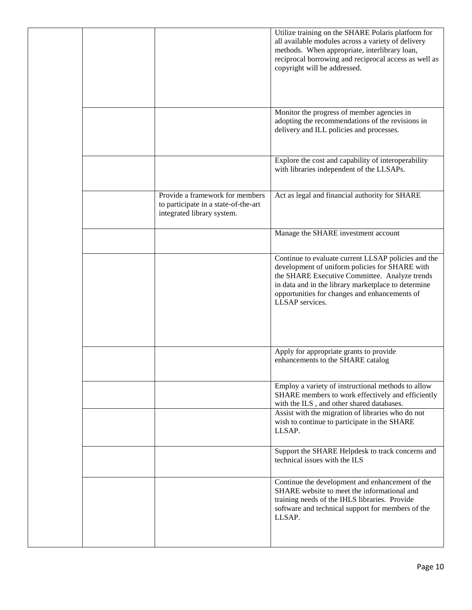|  |                                                                                                       | Utilize training on the SHARE Polaris platform for<br>all available modules across a variety of delivery<br>methods. When appropriate, interlibrary loan,<br>reciprocal borrowing and reciprocal access as well as<br>copyright will be addressed.                                |
|--|-------------------------------------------------------------------------------------------------------|-----------------------------------------------------------------------------------------------------------------------------------------------------------------------------------------------------------------------------------------------------------------------------------|
|  |                                                                                                       | Monitor the progress of member agencies in<br>adopting the recommendations of the revisions in<br>delivery and ILL policies and processes.                                                                                                                                        |
|  |                                                                                                       | Explore the cost and capability of interoperability<br>with libraries independent of the LLSAPs.                                                                                                                                                                                  |
|  | Provide a framework for members<br>to participate in a state-of-the-art<br>integrated library system. | Act as legal and financial authority for SHARE                                                                                                                                                                                                                                    |
|  |                                                                                                       | Manage the SHARE investment account                                                                                                                                                                                                                                               |
|  |                                                                                                       | Continue to evaluate current LLSAP policies and the<br>development of uniform policies for SHARE with<br>the SHARE Executive Committee. Analyze trends<br>in data and in the library marketplace to determine<br>opportunities for changes and enhancements of<br>LLSAP services. |
|  |                                                                                                       | Apply for appropriate grants to provide<br>enhancements to the SHARE catalog                                                                                                                                                                                                      |
|  |                                                                                                       | Employ a variety of instructional methods to allow<br>SHARE members to work effectively and efficiently<br>with the ILS, and other shared databases.                                                                                                                              |
|  |                                                                                                       | Assist with the migration of libraries who do not<br>wish to continue to participate in the SHARE<br>LLSAP.                                                                                                                                                                       |
|  |                                                                                                       | Support the SHARE Helpdesk to track concerns and<br>technical issues with the ILS                                                                                                                                                                                                 |
|  |                                                                                                       | Continue the development and enhancement of the<br>SHARE website to meet the informational and<br>training needs of the IHLS libraries. Provide<br>software and technical support for members of the<br>LLSAP.                                                                    |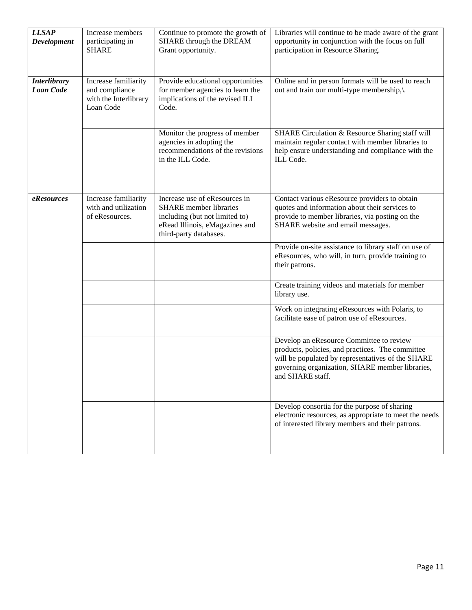| <b>LLSAP</b><br>Development             | Increase members<br>participating in<br><b>SHARE</b>                         | Continue to promote the growth of<br>SHARE through the DREAM<br>Grant opportunity.                                                                           | Libraries will continue to be made aware of the grant<br>opportunity in conjunction with the focus on full<br>participation in Resource Sharing.                                                                         |
|-----------------------------------------|------------------------------------------------------------------------------|--------------------------------------------------------------------------------------------------------------------------------------------------------------|--------------------------------------------------------------------------------------------------------------------------------------------------------------------------------------------------------------------------|
| <b>Interlibrary</b><br><b>Loan Code</b> | Increase familiarity<br>and compliance<br>with the Interlibrary<br>Loan Code | Provide educational opportunities<br>for member agencies to learn the<br>implications of the revised ILL<br>Code.                                            | Online and in person formats will be used to reach<br>out and train our multi-type membership,\.                                                                                                                         |
|                                         |                                                                              | Monitor the progress of member<br>agencies in adopting the<br>recommendations of the revisions<br>in the ILL Code.                                           | SHARE Circulation & Resource Sharing staff will<br>maintain regular contact with member libraries to<br>help ensure understanding and compliance with the<br>ILL Code.                                                   |
| eResources                              | Increase familiarity<br>with and utilization<br>of eResources.               | Increase use of eResources in<br><b>SHARE</b> member libraries<br>including (but not limited to)<br>eRead Illinois, eMagazines and<br>third-party databases. | Contact various eResource providers to obtain<br>quotes and information about their services to<br>provide to member libraries, via posting on the<br>SHARE website and email messages.                                  |
|                                         |                                                                              |                                                                                                                                                              | Provide on-site assistance to library staff on use of<br>eResources, who will, in turn, provide training to<br>their patrons.                                                                                            |
|                                         |                                                                              |                                                                                                                                                              | Create training videos and materials for member<br>library use.                                                                                                                                                          |
|                                         |                                                                              |                                                                                                                                                              | Work on integrating eResources with Polaris, to<br>facilitate ease of patron use of eResources.                                                                                                                          |
|                                         |                                                                              |                                                                                                                                                              | Develop an eResource Committee to review<br>products, policies, and practices. The committee<br>will be populated by representatives of the SHARE<br>governing organization, SHARE member libraries,<br>and SHARE staff. |
|                                         |                                                                              |                                                                                                                                                              | Develop consortia for the purpose of sharing<br>electronic resources, as appropriate to meet the needs<br>of interested library members and their patrons.                                                               |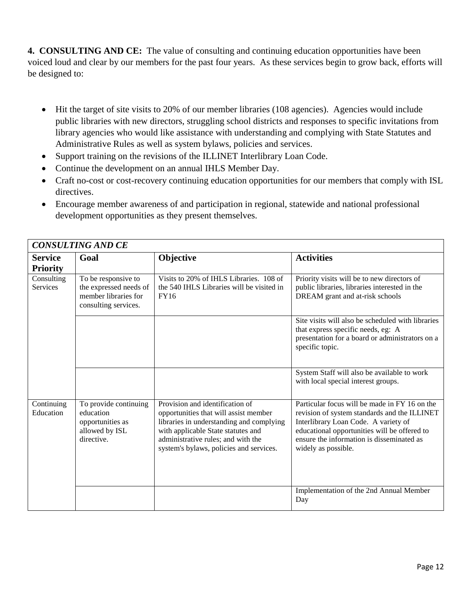**4. CONSULTING AND CE:** The value of consulting and continuing education opportunities have been voiced loud and clear by our members for the past four years. As these services begin to grow back, efforts will be designed to:

- Hit the target of site visits to 20% of our member libraries (108 agencies). Agencies would include public libraries with new directors, struggling school districts and responses to specific invitations from library agencies who would like assistance with understanding and complying with State Statutes and Administrative Rules as well as system bylaws, policies and services.
- Support training on the revisions of the ILLINET Interlibrary Loan Code.
- Continue the development on an annual IHLS Member Day.
- Craft no-cost or cost-recovery continuing education opportunities for our members that comply with ISL directives.
- Encourage member awareness of and participation in regional, statewide and national professional development opportunities as they present themselves.

|                                   | <b>CONSULTING AND CE</b>                                                                      |                                                                                                                                                                                                                                             |                                                                                                                                                                                                                                                           |  |
|-----------------------------------|-----------------------------------------------------------------------------------------------|---------------------------------------------------------------------------------------------------------------------------------------------------------------------------------------------------------------------------------------------|-----------------------------------------------------------------------------------------------------------------------------------------------------------------------------------------------------------------------------------------------------------|--|
| <b>Service</b><br><b>Priority</b> | Goal                                                                                          | Objective                                                                                                                                                                                                                                   | <b>Activities</b>                                                                                                                                                                                                                                         |  |
| Consulting<br><b>Services</b>     | To be responsive to<br>the expressed needs of<br>member libraries for<br>consulting services. | Visits to 20% of IHLS Libraries. 108 of<br>the 540 IHLS Libraries will be visited in<br><b>FY16</b>                                                                                                                                         | Priority visits will be to new directors of<br>public libraries, libraries interested in the<br>DREAM grant and at-risk schools                                                                                                                           |  |
|                                   |                                                                                               |                                                                                                                                                                                                                                             | Site visits will also be scheduled with libraries<br>that express specific needs, eg: A<br>presentation for a board or administrators on a<br>specific topic.                                                                                             |  |
|                                   |                                                                                               |                                                                                                                                                                                                                                             | System Staff will also be available to work<br>with local special interest groups.                                                                                                                                                                        |  |
| Continuing<br>Education           | To provide continuing<br>education<br>opportunities as<br>allowed by ISL<br>directive.        | Provision and identification of<br>opportunities that will assist member<br>libraries in understanding and complying<br>with applicable State statutes and<br>administrative rules; and with the<br>system's bylaws, policies and services. | Particular focus will be made in FY 16 on the<br>revision of system standards and the ILLINET<br>Interlibrary Loan Code. A variety of<br>educational opportunities will be offered to<br>ensure the information is disseminated as<br>widely as possible. |  |
|                                   |                                                                                               |                                                                                                                                                                                                                                             | Implementation of the 2nd Annual Member<br>Day                                                                                                                                                                                                            |  |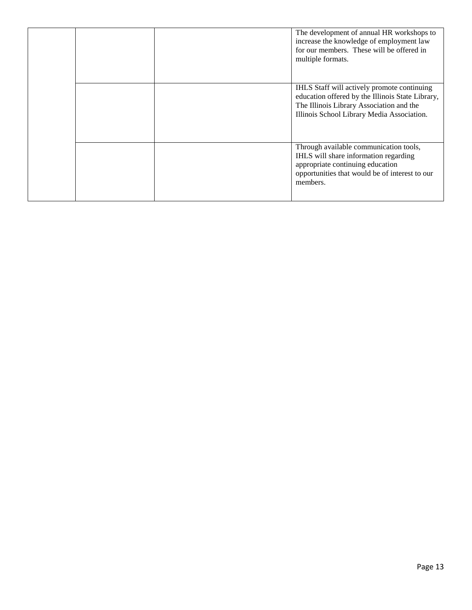|  |  | The development of annual HR workshops to<br>increase the knowledge of employment law<br>for our members. These will be offered in<br>multiple formats.                                   |
|--|--|-------------------------------------------------------------------------------------------------------------------------------------------------------------------------------------------|
|  |  | IHLS Staff will actively promote continuing<br>education offered by the Illinois State Library,<br>The Illinois Library Association and the<br>Illinois School Library Media Association. |
|  |  | Through available communication tools,<br>IHLS will share information regarding<br>appropriate continuing education<br>opportunities that would be of interest to our<br>members.         |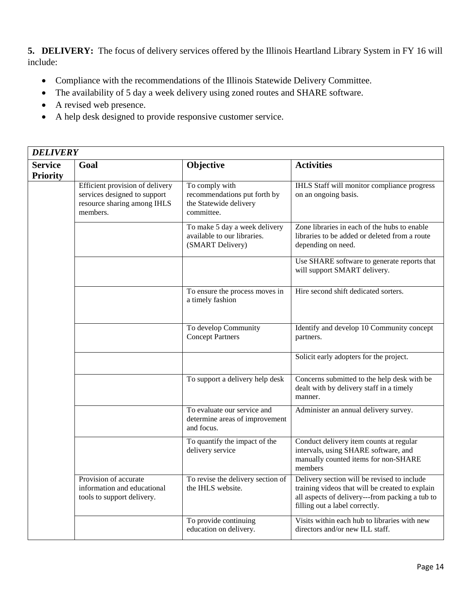**5. DELIVERY:** The focus of delivery services offered by the Illinois Heartland Library System in FY 16 will include:

- Compliance with the recommendations of the Illinois Statewide Delivery Committee.
- The availability of 5 day a week delivery using zoned routes and SHARE software.
- A revised web presence.
- A help desk designed to provide responsive customer service.

| <b>Service</b>  | Goal                                                                                                       | Objective                                                                              | <b>Activities</b>                                                                                                                                                                   |
|-----------------|------------------------------------------------------------------------------------------------------------|----------------------------------------------------------------------------------------|-------------------------------------------------------------------------------------------------------------------------------------------------------------------------------------|
| <b>Priority</b> |                                                                                                            |                                                                                        |                                                                                                                                                                                     |
|                 | Efficient provision of delivery<br>services designed to support<br>resource sharing among IHLS<br>members. | To comply with<br>recommendations put forth by<br>the Statewide delivery<br>committee. | IHLS Staff will monitor compliance progress<br>on an ongoing basis.                                                                                                                 |
|                 |                                                                                                            | To make 5 day a week delivery<br>available to our libraries.<br>(SMART Delivery)       | Zone libraries in each of the hubs to enable<br>libraries to be added or deleted from a route<br>depending on need.                                                                 |
|                 |                                                                                                            |                                                                                        | Use SHARE software to generate reports that<br>will support SMART delivery.                                                                                                         |
|                 |                                                                                                            | To ensure the process moves in<br>a timely fashion                                     | Hire second shift dedicated sorters.                                                                                                                                                |
|                 |                                                                                                            | To develop Community<br><b>Concept Partners</b>                                        | Identify and develop 10 Community concept<br>partners.                                                                                                                              |
|                 |                                                                                                            |                                                                                        | Solicit early adopters for the project.                                                                                                                                             |
|                 |                                                                                                            | To support a delivery help desk                                                        | Concerns submitted to the help desk with be<br>dealt with by delivery staff in a timely<br>manner.                                                                                  |
|                 |                                                                                                            | To evaluate our service and<br>determine areas of improvement<br>and focus.            | Administer an annual delivery survey.                                                                                                                                               |
|                 |                                                                                                            | To quantify the impact of the<br>delivery service                                      | Conduct delivery item counts at regular<br>intervals, using SHARE software, and<br>manually counted items for non-SHARE<br>members                                                  |
|                 | Provision of accurate<br>information and educational<br>tools to support delivery.                         | To revise the delivery section of<br>the IHLS website.                                 | Delivery section will be revised to include<br>training videos that will be created to explain<br>all aspects of delivery---from packing a tub to<br>filling out a label correctly. |
|                 |                                                                                                            | To provide continuing<br>education on delivery.                                        | Visits within each hub to libraries with new<br>directors and/or new ILL staff.                                                                                                     |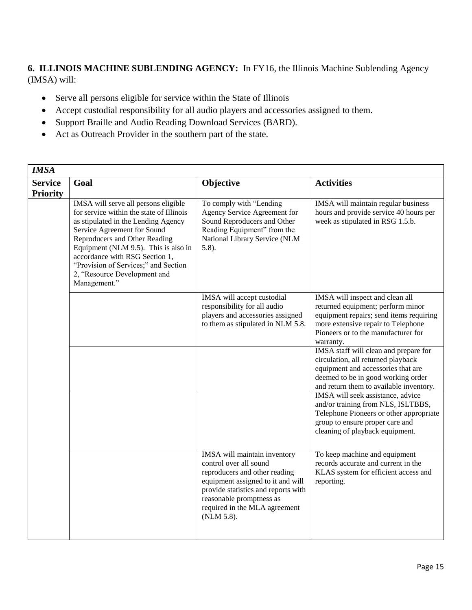**6. ILLINOIS MACHINE SUBLENDING AGENCY:** In FY16, the Illinois Machine Sublending Agency (IMSA) will:

- Serve all persons eligible for service within the State of Illinois
- Accept custodial responsibility for all audio players and accessories assigned to them.
- Support Braille and Audio Reading Download Services (BARD).
- Act as Outreach Provider in the southern part of the state.

| <b>IMSA</b>                       |                                                                                                                                                                                                                                                                                                                                                           |                                                                                                                                                                                                                                                |                                                                                                                                                                                                           |  |
|-----------------------------------|-----------------------------------------------------------------------------------------------------------------------------------------------------------------------------------------------------------------------------------------------------------------------------------------------------------------------------------------------------------|------------------------------------------------------------------------------------------------------------------------------------------------------------------------------------------------------------------------------------------------|-----------------------------------------------------------------------------------------------------------------------------------------------------------------------------------------------------------|--|
| <b>Service</b><br><b>Priority</b> | Goal                                                                                                                                                                                                                                                                                                                                                      | Objective                                                                                                                                                                                                                                      | <b>Activities</b>                                                                                                                                                                                         |  |
|                                   | IMSA will serve all persons eligible<br>for service within the state of Illinois<br>as stipulated in the Lending Agency<br>Service Agreement for Sound<br>Reproducers and Other Reading<br>Equipment (NLM 9.5). This is also in<br>accordance with RSG Section 1,<br>"Provision of Services;" and Section<br>2, "Resource Development and<br>Management." | To comply with "Lending<br>Agency Service Agreement for<br>Sound Reproducers and Other<br>Reading Equipment" from the<br>National Library Service (NLM<br>$5.8$ ).                                                                             | IMSA will maintain regular business<br>hours and provide service 40 hours per<br>week as stipulated in RSG 1.5.b.                                                                                         |  |
|                                   |                                                                                                                                                                                                                                                                                                                                                           | IMSA will accept custodial<br>responsibility for all audio<br>players and accessories assigned<br>to them as stipulated in NLM 5.8.                                                                                                            | IMSA will inspect and clean all<br>returned equipment; perform minor<br>equipment repairs; send items requiring<br>more extensive repair to Telephone<br>Pioneers or to the manufacturer for<br>warranty. |  |
|                                   |                                                                                                                                                                                                                                                                                                                                                           |                                                                                                                                                                                                                                                | IMSA staff will clean and prepare for<br>circulation, all returned playback<br>equipment and accessories that are<br>deemed to be in good working order<br>and return them to available inventory.        |  |
|                                   |                                                                                                                                                                                                                                                                                                                                                           |                                                                                                                                                                                                                                                | IMSA will seek assistance, advice<br>and/or training from NLS, ISLTBBS,<br>Telephone Pioneers or other appropriate<br>group to ensure proper care and<br>cleaning of playback equipment.                  |  |
|                                   |                                                                                                                                                                                                                                                                                                                                                           | IMSA will maintain inventory<br>control over all sound<br>reproducers and other reading<br>equipment assigned to it and will<br>provide statistics and reports with<br>reasonable promptness as<br>required in the MLA agreement<br>(NLM 5.8). | To keep machine and equipment<br>records accurate and current in the<br>KLAS system for efficient access and<br>reporting.                                                                                |  |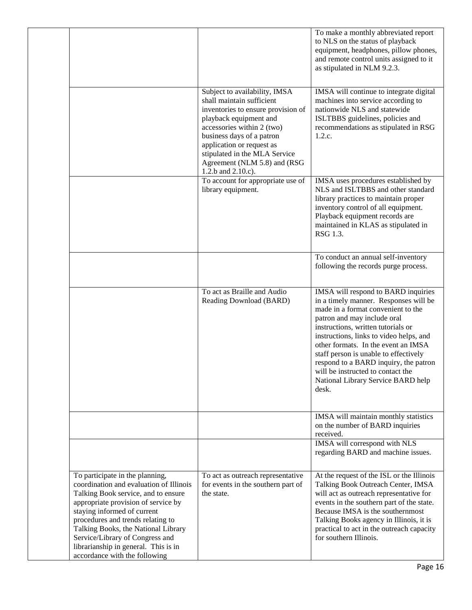|                                                                                                                                                                                                                                                                                                                                                                                 |                                                                                                                                                                                                                                                                                                           | To make a monthly abbreviated report<br>to NLS on the status of playback<br>equipment, headphones, pillow phones,<br>and remote control units assigned to it<br>as stipulated in NLM 9.2.3.                                                                                                                                                                                                                                                     |
|---------------------------------------------------------------------------------------------------------------------------------------------------------------------------------------------------------------------------------------------------------------------------------------------------------------------------------------------------------------------------------|-----------------------------------------------------------------------------------------------------------------------------------------------------------------------------------------------------------------------------------------------------------------------------------------------------------|-------------------------------------------------------------------------------------------------------------------------------------------------------------------------------------------------------------------------------------------------------------------------------------------------------------------------------------------------------------------------------------------------------------------------------------------------|
|                                                                                                                                                                                                                                                                                                                                                                                 | Subject to availability, IMSA<br>shall maintain sufficient<br>inventories to ensure provision of<br>playback equipment and<br>accessories within 2 (two)<br>business days of a patron<br>application or request as<br>stipulated in the MLA Service<br>Agreement (NLM 5.8) and (RSG<br>1.2.b and 2.10.c). | IMSA will continue to integrate digital<br>machines into service according to<br>nationwide NLS and statewide<br>ISLTBBS guidelines, policies and<br>recommendations as stipulated in RSG<br>1.2.c.                                                                                                                                                                                                                                             |
|                                                                                                                                                                                                                                                                                                                                                                                 | To account for appropriate use of<br>library equipment.                                                                                                                                                                                                                                                   | IMSA uses procedures established by<br>NLS and ISLTBBS and other standard<br>library practices to maintain proper<br>inventory control of all equipment.<br>Playback equipment records are<br>maintained in KLAS as stipulated in<br>RSG 1.3.                                                                                                                                                                                                   |
|                                                                                                                                                                                                                                                                                                                                                                                 |                                                                                                                                                                                                                                                                                                           | To conduct an annual self-inventory<br>following the records purge process.                                                                                                                                                                                                                                                                                                                                                                     |
|                                                                                                                                                                                                                                                                                                                                                                                 | To act as Braille and Audio<br>Reading Download (BARD)                                                                                                                                                                                                                                                    | IMSA will respond to BARD inquiries<br>in a timely manner. Responses will be<br>made in a format convenient to the<br>patron and may include oral<br>instructions, written tutorials or<br>instructions, links to video helps, and<br>other formats. In the event an IMSA<br>staff person is unable to effectively<br>respond to a BARD inquiry, the patron<br>will be instructed to contact the<br>National Library Service BARD help<br>desk. |
|                                                                                                                                                                                                                                                                                                                                                                                 |                                                                                                                                                                                                                                                                                                           | IMSA will maintain monthly statistics<br>on the number of BARD inquiries<br>received.                                                                                                                                                                                                                                                                                                                                                           |
|                                                                                                                                                                                                                                                                                                                                                                                 |                                                                                                                                                                                                                                                                                                           | <b>IMSA</b> will correspond with NLS<br>regarding BARD and machine issues.                                                                                                                                                                                                                                                                                                                                                                      |
| To participate in the planning,<br>coordination and evaluation of Illinois<br>Talking Book service, and to ensure<br>appropriate provision of service by<br>staying informed of current<br>procedures and trends relating to<br>Talking Books, the National Library<br>Service/Library of Congress and<br>librarianship in general. This is in<br>accordance with the following | To act as outreach representative<br>for events in the southern part of<br>the state.                                                                                                                                                                                                                     | At the request of the ISL or the Illinois<br>Talking Book Outreach Center, IMSA<br>will act as outreach representative for<br>events in the southern part of the state.<br>Because IMSA is the southernmost<br>Talking Books agency in Illinois, it is<br>practical to act in the outreach capacity<br>for southern Illinois.                                                                                                                   |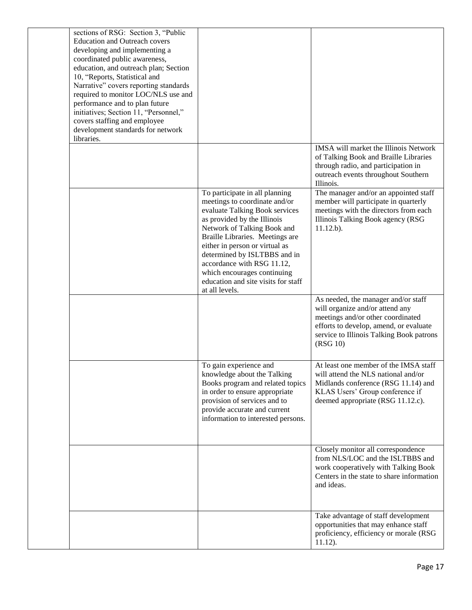| sections of RSG: Section 3, "Public<br><b>Education and Outreach covers</b><br>developing and implementing a<br>coordinated public awareness,<br>education, and outreach plan; Section<br>10, "Reports, Statistical and<br>Narrative" covers reporting standards<br>required to monitor LOC/NLS use and<br>performance and to plan future<br>initiatives; Section 11, "Personnel,"<br>covers staffing and employee<br>development standards for network<br>libraries. |                                                                                                                                                                                                                                                                                                                                                                                            |                                                                                                                                                                                                               |
|-----------------------------------------------------------------------------------------------------------------------------------------------------------------------------------------------------------------------------------------------------------------------------------------------------------------------------------------------------------------------------------------------------------------------------------------------------------------------|--------------------------------------------------------------------------------------------------------------------------------------------------------------------------------------------------------------------------------------------------------------------------------------------------------------------------------------------------------------------------------------------|---------------------------------------------------------------------------------------------------------------------------------------------------------------------------------------------------------------|
|                                                                                                                                                                                                                                                                                                                                                                                                                                                                       |                                                                                                                                                                                                                                                                                                                                                                                            | IMSA will market the Illinois Network<br>of Talking Book and Braille Libraries<br>through radio, and participation in<br>outreach events throughout Southern<br>Illinois.                                     |
|                                                                                                                                                                                                                                                                                                                                                                                                                                                                       | To participate in all planning<br>meetings to coordinate and/or<br>evaluate Talking Book services<br>as provided by the Illinois<br>Network of Talking Book and<br>Braille Libraries. Meetings are<br>either in person or virtual as<br>determined by ISLTBBS and in<br>accordance with RSG 11.12,<br>which encourages continuing<br>education and site visits for staff<br>at all levels. | The manager and/or an appointed staff<br>member will participate in quarterly<br>meetings with the directors from each<br>Illinois Talking Book agency (RSG<br>$11.12.b$ ).                                   |
|                                                                                                                                                                                                                                                                                                                                                                                                                                                                       |                                                                                                                                                                                                                                                                                                                                                                                            | As needed, the manager and/or staff<br>will organize and/or attend any<br>meetings and/or other coordinated<br>efforts to develop, amend, or evaluate<br>service to Illinois Talking Book patrons<br>(RSG 10) |
|                                                                                                                                                                                                                                                                                                                                                                                                                                                                       | To gain experience and<br>knowledge about the Talking<br>Books program and related topics<br>in order to ensure appropriate<br>provision of services and to<br>provide accurate and current<br>information to interested persons.                                                                                                                                                          | At least one member of the IMSA staff<br>will attend the NLS national and/or<br>Midlands conference (RSG 11.14) and<br>KLAS Users' Group conference if<br>deemed appropriate (RSG 11.12.c).                   |
|                                                                                                                                                                                                                                                                                                                                                                                                                                                                       |                                                                                                                                                                                                                                                                                                                                                                                            | Closely monitor all correspondence<br>from NLS/LOC and the ISLTBBS and<br>work cooperatively with Talking Book<br>Centers in the state to share information<br>and ideas.                                     |
|                                                                                                                                                                                                                                                                                                                                                                                                                                                                       |                                                                                                                                                                                                                                                                                                                                                                                            | Take advantage of staff development<br>opportunities that may enhance staff<br>proficiency, efficiency or morale (RSG<br>$11.12$ ).                                                                           |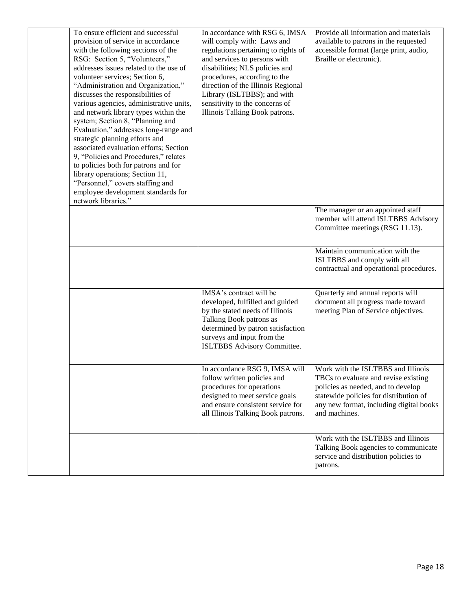| To ensure efficient and successful<br>provision of service in accordance<br>with the following sections of the<br>RSG: Section 5, "Volunteers,"<br>addresses issues related to the use of<br>volunteer services; Section 6,<br>"Administration and Organization,"<br>discusses the responsibilities of<br>various agencies, administrative units,<br>and network library types within the<br>system; Section 8, "Planning and<br>Evaluation," addresses long-range and<br>strategic planning efforts and<br>associated evaluation efforts; Section<br>9, "Policies and Procedures," relates<br>to policies both for patrons and for<br>library operations; Section 11,<br>"Personnel," covers staffing and<br>employee development standards for<br>network libraries." | In accordance with RSG 6, IMSA<br>will comply with: Laws and<br>regulations pertaining to rights of<br>and services to persons with<br>disabilities; NLS policies and<br>procedures, according to the<br>direction of the Illinois Regional<br>Library (ISLTBBS); and with<br>sensitivity to the concerns of<br>Illinois Talking Book patrons. | Provide all information and materials<br>available to patrons in the requested<br>accessible format (large print, audio,<br>Braille or electronic).                                                                    |
|-------------------------------------------------------------------------------------------------------------------------------------------------------------------------------------------------------------------------------------------------------------------------------------------------------------------------------------------------------------------------------------------------------------------------------------------------------------------------------------------------------------------------------------------------------------------------------------------------------------------------------------------------------------------------------------------------------------------------------------------------------------------------|------------------------------------------------------------------------------------------------------------------------------------------------------------------------------------------------------------------------------------------------------------------------------------------------------------------------------------------------|------------------------------------------------------------------------------------------------------------------------------------------------------------------------------------------------------------------------|
|                                                                                                                                                                                                                                                                                                                                                                                                                                                                                                                                                                                                                                                                                                                                                                         |                                                                                                                                                                                                                                                                                                                                                | The manager or an appointed staff<br>member will attend ISLTBBS Advisory<br>Committee meetings (RSG 11.13).                                                                                                            |
|                                                                                                                                                                                                                                                                                                                                                                                                                                                                                                                                                                                                                                                                                                                                                                         |                                                                                                                                                                                                                                                                                                                                                | Maintain communication with the<br>ISLTBBS and comply with all<br>contractual and operational procedures.                                                                                                              |
|                                                                                                                                                                                                                                                                                                                                                                                                                                                                                                                                                                                                                                                                                                                                                                         | IMSA's contract will be<br>developed, fulfilled and guided<br>by the stated needs of Illinois<br>Talking Book patrons as<br>determined by patron satisfaction<br>surveys and input from the<br>ISLTBBS Advisory Committee.                                                                                                                     | Quarterly and annual reports will<br>document all progress made toward<br>meeting Plan of Service objectives.                                                                                                          |
|                                                                                                                                                                                                                                                                                                                                                                                                                                                                                                                                                                                                                                                                                                                                                                         | In accordance RSG 9, IMSA will<br>follow written policies and<br>procedures for operations<br>designed to meet service goals<br>and ensure consistent service for<br>all Illinois Talking Book patrons.                                                                                                                                        | Work with the ISLTBBS and Illinois<br>TBCs to evaluate and revise existing<br>policies as needed, and to develop<br>statewide policies for distribution of<br>any new format, including digital books<br>and machines. |
|                                                                                                                                                                                                                                                                                                                                                                                                                                                                                                                                                                                                                                                                                                                                                                         |                                                                                                                                                                                                                                                                                                                                                | Work with the ISLTBBS and Illinois<br>Talking Book agencies to communicate<br>service and distribution policies to<br>patrons.                                                                                         |